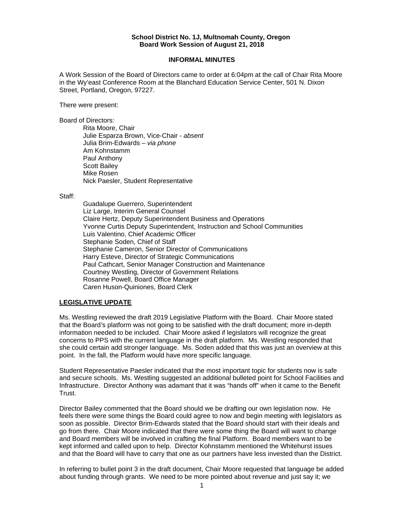#### **School District No. 1J, Multnomah County, Oregon Board Work Session of August 21, 2018**

#### **INFORMAL MINUTES**

A Work Session of the Board of Directors came to order at 6:04pm at the call of Chair Rita Moore in the Wy'east Conference Room at the Blanchard Education Service Center, 501 N. Dixon Street, Portland, Oregon, 97227.

There were present:

Board of Directors:

Rita Moore, Chair Julie Esparza Brown, Vice-Chair - *absent* Julia Brim-Edwards – *via phone*  Am Kohnstamm Paul Anthony Scott Bailey Mike Rosen Nick Paesler, Student Representative

Staff:

 Guadalupe Guerrero, Superintendent Liz Large, Interim General Counsel Claire Hertz, Deputy Superintendent Business and Operations Yvonne Curtis Deputy Superintendent, Instruction and School Communities Luis Valentino, Chief Academic Officer Stephanie Soden, Chief of Staff Stephanie Cameron, Senior Director of Communications Harry Esteve, Director of Strategic Communications Paul Cathcart, Senior Manager Construction and Maintenance Courtney Westling, Director of Government Relations Rosanne Powell, Board Office Manager Caren Huson-Quiniones, Board Clerk

#### **LEGISLATIVE UPDATE**

Ms. Westling reviewed the draft 2019 Legislative Platform with the Board. Chair Moore stated that the Board's platform was not going to be satisfied with the draft document; more in-depth information needed to be included. Chair Moore asked if legislators will recognize the great concerns to PPS with the current language in the draft platform. Ms. Westling responded that she could certain add stronger language. Ms. Soden added that this was just an overview at this point. In the fall, the Platform would have more specific language.

Student Representative Paesler indicated that the most important topic for students now is safe and secure schools. Ms. Westling suggested an additional bulleted point for School Facilities and Infrastructure. Director Anthony was adamant that it was "hands off" when it came to the Benefit Trust.

Director Bailey commented that the Board should we be drafting our own legislation now. He feels there were some things the Board could agree to now and begin meeting with legislators as soon as possible. Director Brim-Edwards stated that the Board should start with their ideals and go from there. Chair Moore indicated that there were some thing the Board will want to change and Board members will be involved in crafting the final Platform. Board members want to be kept informed and called upon to help. Director Kohnstamm mentioned the Whitehurst issues and that the Board will have to carry that one as our partners have less invested than the District.

In referring to bullet point 3 in the draft document, Chair Moore requested that language be added about funding through grants. We need to be more pointed about revenue and just say it; we